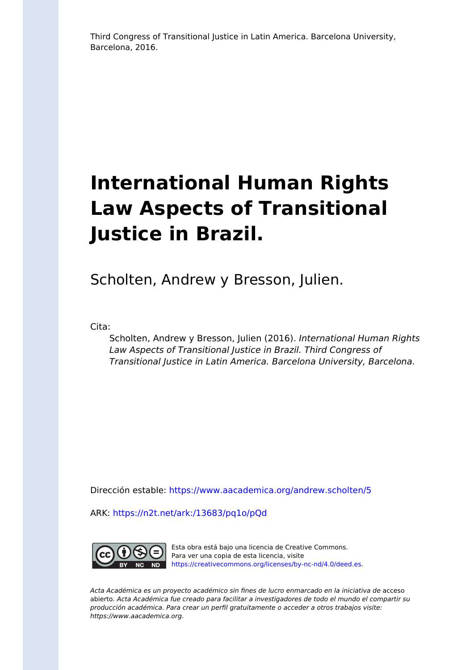Third Congress of Transitional Justice in Latin America. Barcelona University, Barcelona, 2016.

# **International Human Rights Law Aspects of Transitional Justice in Brazil.**

Scholten, Andrew y Bresson, Julien.

Cita:

Scholten, Andrew y Bresson, Julien (2016). International Human Rights Law Aspects of Transitional Justice in Brazil. Third Congress of Transitional Justice in Latin America. Barcelona University, Barcelona.

Dirección estable:<https://www.aacademica.org/andrew.scholten/5>

ARK: <https://n2t.net/ark:/13683/pq1o/pQd>



Esta obra está bajo una licencia de Creative Commons. Para ver una copia de esta licencia, visite [https://creativecommons.org/licenses/by-nc-nd/4.0/deed.es.](https://creativecommons.org/licenses/by-nc-nd/4.0/deed.es)

Acta Académica es un proyecto académico sin fines de lucro enmarcado en la iniciativa de acceso abierto. Acta Académica fue creado para facilitar a investigadores de todo el mundo el compartir su producción académica. Para crear un perfil gratuitamente o acceder a otros trabajos visite: https://www.aacademica.org.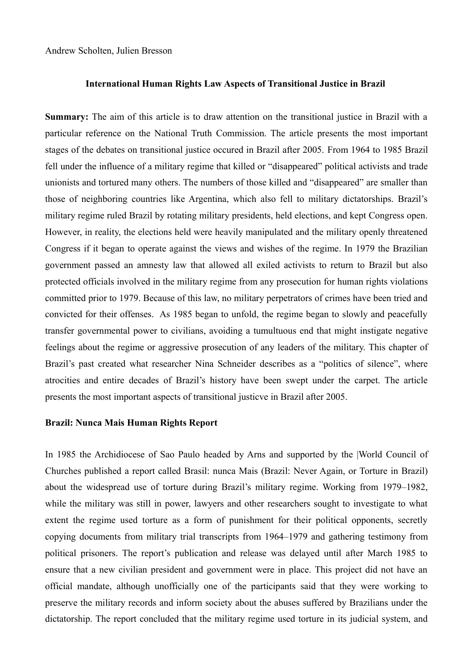Andrew Scholten, Julien Bresson

## **International Human Rights Law Aspects of Transitional Justice in Brazil**

**Summary:** The aim of this article is to draw attention on the transitional justice in Brazil with a particular reference on the National Truth Commission. The article presents the most important stages of the debates on transitional justice occured in Brazil after 2005. From 1964 to 1985 Brazil fell under the influence of a military regime that killed or "disappeared" political activists and trade unionists and tortured many others. The numbers of those killed and "disappeared" are smaller than those of neighboring countries like Argentina, which also fell to military dictatorships. Brazil's military regime ruled Brazil by rotating military presidents, held elections, and kept Congress open. However, in reality, the elections held were heavily manipulated and the military openly threatened Congress if it began to operate against the views and wishes of the regime. In 1979 the Brazilian government passed an amnesty law that allowed all exiled activists to return to Brazil but also protected officials involved in the military regime from any prosecution for human rights violations committed prior to 1979. Because of this law, no military perpetrators of crimes have been tried and convicted for their offenses. As 1985 began to unfold, the regime began to slowly and peacefully transfer governmental power to civilians, avoiding a tumultuous end that might instigate negative feelings about the regime or aggressive prosecution of any leaders of the military. This chapter of Brazil's past created what researcher Nina Schneider describes as a "politics of silence", where atrocities and entire decades of Brazil's history have been swept under the carpet. The article presents the most important aspects of transitional justicve in Brazil after 2005.

# **Brazil: Nunca Mais Human Rights Report**

In 1985 the Archidiocese of Sao Paulo headed by Arns and supported by the |World Council of Churches published a report called Brasil: nunca Mais (Brazil: Never Again, or Torture in Brazil) about the widespread use of torture during Brazil's military regime. Working from 1979–1982, while the military was still in power, lawyers and other researchers sought to investigate to what extent the regime used torture as a form of punishment for their political opponents, secretly copying documents from military trial transcripts from 1964–1979 and gathering testimony from political prisoners. The report's publication and release was delayed until after March 1985 to ensure that a new civilian president and government were in place. This project did not have an official mandate, although unofficially one of the participants said that they were working to preserve the military records and inform society about the abuses suffered by Brazilians under the dictatorship. The report concluded that the military regime used torture in its judicial system, and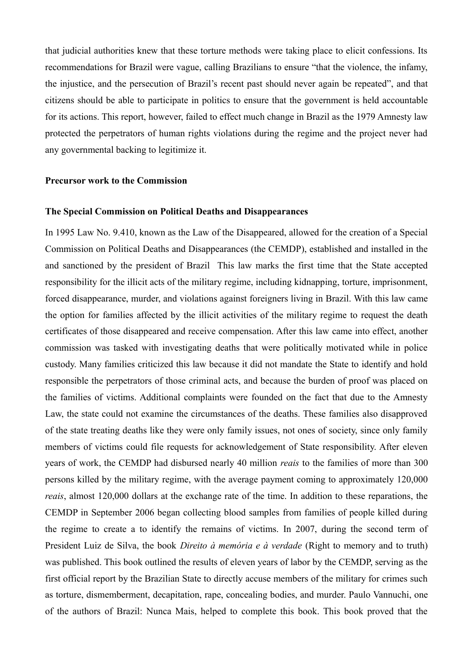that judicial authorities knew that these torture methods were taking place to elicit confessions. Its recommendations for Brazil were vague, calling Brazilians to ensure "that the violence, the infamy, the injustice, and the persecution of Brazil's recent past should never again be repeated", and that citizens should be able to participate in politics to ensure that the government is held accountable for its actions. This report, however, failed to effect much change in Brazil as the 1979 Amnesty law protected the perpetrators of human rights violations during the regime and the project never had any governmental backing to legitimize it.

#### **Precursor work to the Commission**

#### **The Special Commission on Political Deaths and Disappearances**

In 1995 Law No. 9.410, known as the Law of the Disappeared, allowed for the creation of a Special Commission on Political Deaths and Disappearances (the CEMDP), established and installed in the and sanctioned by the president of Brazil This law marks the first time that the State accepted responsibility for the illicit acts of the military regime, including kidnapping, torture, imprisonment, forced disappearance, murder, and violations against foreigners living in Brazil. With this law came the option for families affected by the illicit activities of the military regime to request the death certificates of those disappeared and receive compensation. After this law came into effect, another commission was tasked with investigating deaths that were politically motivated while in police custody. Many families criticized this law because it did not mandate the State to identify and hold responsible the perpetrators of those criminal acts, and because the burden of proof was placed on the families of victims. Additional complaints were founded on the fact that due to the Amnesty Law, the state could not examine the circumstances of the deaths. These families also disapproved of the state treating deaths like they were only family issues, not ones of society, since only family members of victims could file requests for acknowledgement of State responsibility. After eleven years of work, the CEMDP had disbursed nearly 40 million *reais* to the families of more than 300 persons killed by the military regime, with the average payment coming to approximately 120,000 *reais*, almost 120,000 dollars at the exchange rate of the time. In addition to these reparations, the CEMDP in September 2006 began collecting blood samples from families of people killed during the regime to create a to identify the remains of victims. In 2007, during the second term of President Luiz de Silva, the book *Direito à memória e à verdade* (Right to memory and to truth) was published. This book outlined the results of eleven years of labor by the CEMDP, serving as the first official report by the Brazilian State to directly accuse members of the military for crimes such as torture, dismemberment, decapitation, rape, concealing bodies, and murder. Paulo Vannuchi, one of the authors of Brazil: Nunca Mais, helped to complete this book. This book proved that the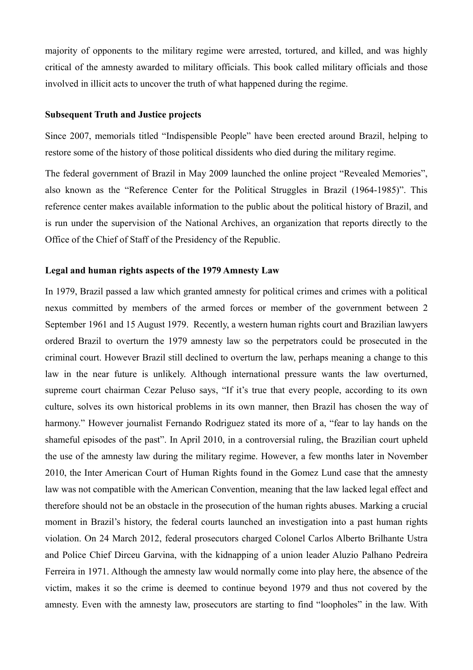majority of opponents to the military regime were arrested, tortured, and killed, and was highly critical of the amnesty awarded to military officials. This book called military officials and those involved in illicit acts to uncover the truth of what happened during the regime.

#### **Subsequent Truth and Justice projects**

Since 2007, memorials titled "Indispensible People" have been erected around Brazil, helping to restore some of the history of those political dissidents who died during the military regime.

The federal government of Brazil in May 2009 launched the online project "Revealed Memories", also known as the "Reference Center for the Political Struggles in Brazil (1964-1985)". This reference center makes available information to the public about the political history of Brazil, and is run under the supervision of the National Archives, an organization that reports directly to the Office of the Chief of Staff of the Presidency of the Republic.

#### **Legal and human rights aspects of the 1979 Amnesty Law**

In 1979, Brazil passed a law which granted amnesty for political crimes and crimes with a political nexus committed by members of the armed forces or member of the government between 2 September 1961 and 15 August 1979. Recently, a western human rights court and Brazilian lawyers ordered Brazil to overturn the 1979 amnesty law so the perpetrators could be prosecuted in the criminal court. However Brazil still declined to overturn the law, perhaps meaning a change to this law in the near future is unlikely. Although international pressure wants the law overturned, supreme court chairman Cezar Peluso says, "If it's true that every people, according to its own culture, solves its own historical problems in its own manner, then Brazil has chosen the way of harmony." However journalist Fernando Rodriguez stated its more of a, "fear to lay hands on the shameful episodes of the past". In April 2010, in a controversial ruling, the Brazilian court upheld the use of the amnesty law during the military regime. However, a few months later in November 2010, the Inter American Court of Human Rights found in the Gomez Lund case that the amnesty law was not compatible with the American Convention, meaning that the law lacked legal effect and therefore should not be an obstacle in the prosecution of the human rights abuses. Marking a crucial moment in Brazil's history, the federal courts launched an investigation into a past human rights violation. On 24 March 2012, federal prosecutors charged Colonel Carlos Alberto Brilhante Ustra and Police Chief Dirceu Garvina, with the kidnapping of a union leader Aluzio Palhano Pedreira Ferreira in 1971. Although the amnesty law would normally come into play here, the absence of the victim, makes it so the crime is deemed to continue beyond 1979 and thus not covered by the amnesty. Even with the amnesty law, prosecutors are starting to find "loopholes" in the law. With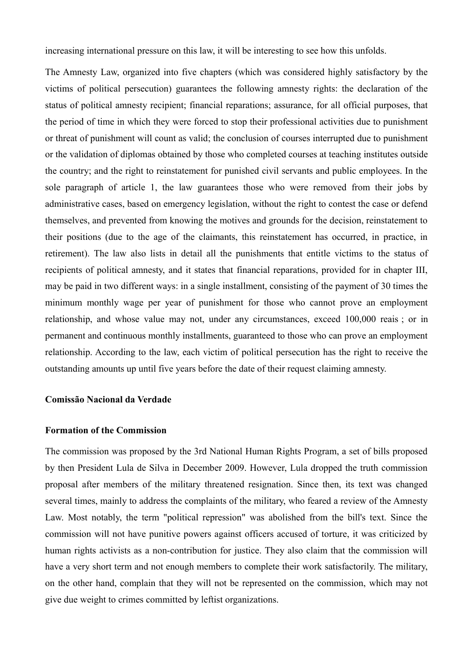increasing international pressure on this law, it will be interesting to see how this unfolds.

The Amnesty Law, organized into five chapters (which was considered highly satisfactory by the victims of political persecution) guarantees the following amnesty rights: the declaration of the status of political amnesty recipient; financial reparations; assurance, for all official purposes, that the period of time in which they were forced to stop their professional activities due to punishment or threat of punishment will count as valid; the conclusion of courses interrupted due to punishment or the validation of diplomas obtained by those who completed courses at teaching institutes outside the country; and the right to reinstatement for punished civil servants and public employees. In the sole paragraph of article 1, the law guarantees those who were removed from their jobs by administrative cases, based on emergency legislation, without the right to contest the case or defend themselves, and prevented from knowing the motives and grounds for the decision, reinstatement to their positions (due to the age of the claimants, this reinstatement has occurred, in practice, in retirement). The law also lists in detail all the punishments that entitle victims to the status of recipients of political amnesty, and it states that financial reparations, provided for in chapter III, may be paid in two different ways: in a single installment, consisting of the payment of 30 times the minimum monthly wage per year of punishment for those who cannot prove an employment relationship, and whose value may not, under any circumstances, exceed 100,000 reais ; or in permanent and continuous monthly installments, guaranteed to those who can prove an employment relationship. According to the law, each victim of political persecution has the right to receive the outstanding amounts up until five years before the date of their request claiming amnesty.

#### **Comissão Nacional da Verdade**

#### **Formation of the Commission**

The commission was proposed by the 3rd National Human Rights Program, a set of bills proposed by then President Lula de Silva in December 2009. However, Lula dropped the truth commission proposal after members of the military threatened resignation. Since then, its text was changed several times, mainly to address the complaints of the military, who feared a review of the Amnesty Law. Most notably, the term "political repression" was abolished from the bill's text. Since the commission will not have punitive powers against officers accused of torture, it was criticized by human rights activists as a non-contribution for justice. They also claim that the commission will have a very short term and not enough members to complete their work satisfactorily. The military, on the other hand, complain that they will not be represented on the commission, which may not give due weight to crimes committed by leftist organizations.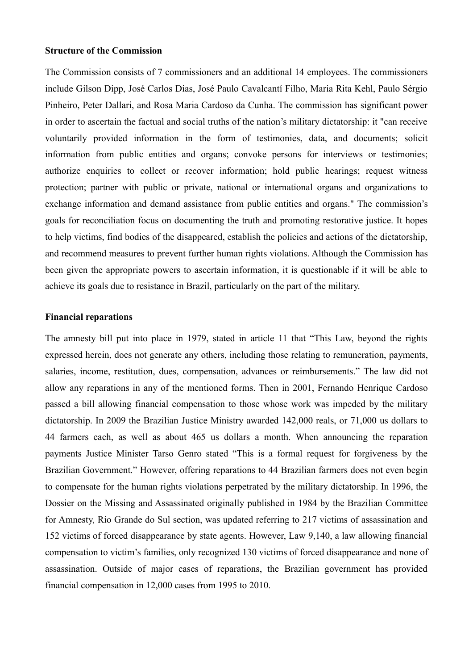#### **Structure of the Commission**

The Commission consists of 7 commissioners and an additional 14 employees. The commissioners include Gilson Dipp, José Carlos Dias, José Paulo Cavalcantí Filho, Maria Rita Kehl, Paulo Sérgio Pinheiro, Peter Dallari, and Rosa Maria Cardoso da Cunha. The commission has significant power in order to ascertain the factual and social truths of the nation's military dictatorship: it "can receive voluntarily provided information in the form of testimonies, data, and documents; solicit information from public entities and organs; convoke persons for interviews or testimonies; authorize enquiries to collect or recover information; hold public hearings; request witness protection; partner with public or private, national or international organs and organizations to exchange information and demand assistance from public entities and organs." The commission's goals for reconciliation focus on documenting the truth and promoting restorative justice. It hopes to help victims, find bodies of the disappeared, establish the policies and actions of the dictatorship, and recommend measures to prevent further human rights violations. Although the Commission has been given the appropriate powers to ascertain information, it is questionable if it will be able to achieve its goals due to resistance in Brazil, particularly on the part of the military.

#### **Financial reparations**

The amnesty bill put into place in 1979, stated in article 11 that "This Law, beyond the rights expressed herein, does not generate any others, including those relating to remuneration, payments, salaries, income, restitution, dues, compensation, advances or reimbursements." The law did not allow any reparations in any of the mentioned forms. Then in 2001, Fernando Henrique Cardoso passed a bill allowing financial compensation to those whose work was impeded by the military dictatorship. In 2009 the Brazilian Justice Ministry awarded 142,000 reals, or 71,000 us dollars to 44 farmers each, as well as about 465 us dollars a month. When announcing the reparation payments Justice Minister Tarso Genro stated "This is a formal request for forgiveness by the Brazilian Government." However, offering reparations to 44 Brazilian farmers does not even begin to compensate for the human rights violations perpetrated by the military dictatorship. In 1996, the Dossier on the Missing and Assassinated originally published in 1984 by the Brazilian Committee for Amnesty, Rio Grande do Sul section, was updated referring to 217 victims of assassination and 152 victims of forced disappearance by state agents. However, Law 9,140, a law allowing financial compensation to victim's families, only recognized 130 victims of forced disappearance and none of assassination. Outside of major cases of reparations, the Brazilian government has provided financial compensation in 12,000 cases from 1995 to 2010.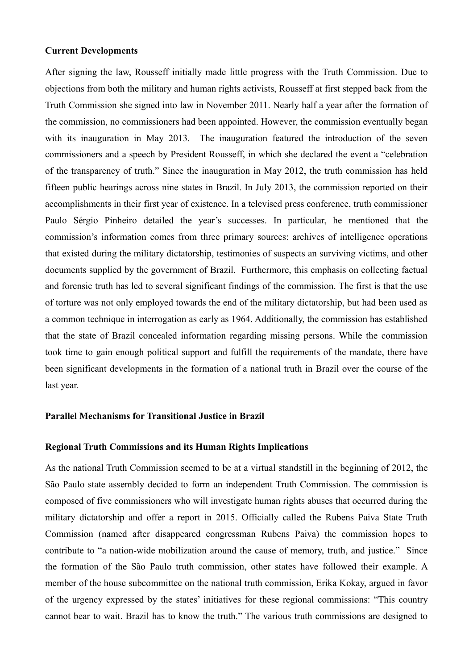#### **Current Developments**

After signing the law, Rousseff initially made little progress with the Truth Commission. Due to objections from both the military and human rights activists, Rousseff at first stepped back from the Truth Commission she signed into law in November 2011. Nearly half a year after the formation of the commission, no commissioners had been appointed. However, the commission eventually began with its inauguration in May 2013. The inauguration featured the introduction of the seven commissioners and a speech by President Rousseff, in which she declared the event a "celebration of the transparency of truth." Since the inauguration in May 2012, the truth commission has held fifteen public hearings across nine states in Brazil. In July 2013, the commission reported on their accomplishments in their first year of existence. In a televised press conference, truth commissioner Paulo Sérgio Pinheiro detailed the year's successes. In particular, he mentioned that the commission's information comes from three primary sources: archives of intelligence operations that existed during the military dictatorship, testimonies of suspects an surviving victims, and other documents supplied by the government of Brazil. Furthermore, this emphasis on collecting factual and forensic truth has led to several significant findings of the commission. The first is that the use of torture was not only employed towards the end of the military dictatorship, but had been used as a common technique in interrogation as early as 1964. Additionally, the commission has established that the state of Brazil concealed information regarding missing persons. While the commission took time to gain enough political support and fulfill the requirements of the mandate, there have been significant developments in the formation of a national truth in Brazil over the course of the last year.

## **Parallel Mechanisms for Transitional Justice in Brazil**

#### **Regional Truth Commissions and its Human Rights Implications**

As the national Truth Commission seemed to be at a virtual standstill in the beginning of 2012, the São Paulo state assembly decided to form an independent Truth Commission. The commission is composed of five commissioners who will investigate human rights abuses that occurred during the military dictatorship and offer a report in 2015. Officially called the Rubens Paiva State Truth Commission (named after disappeared congressman Rubens Paiva) the commission hopes to contribute to "a nation-wide mobilization around the cause of memory, truth, and justice." Since the formation of the São Paulo truth commission, other states have followed their example. A member of the house subcommittee on the national truth commission, Erika Kokay, argued in favor of the urgency expressed by the states' initiatives for these regional commissions: "This country cannot bear to wait. Brazil has to know the truth." The various truth commissions are designed to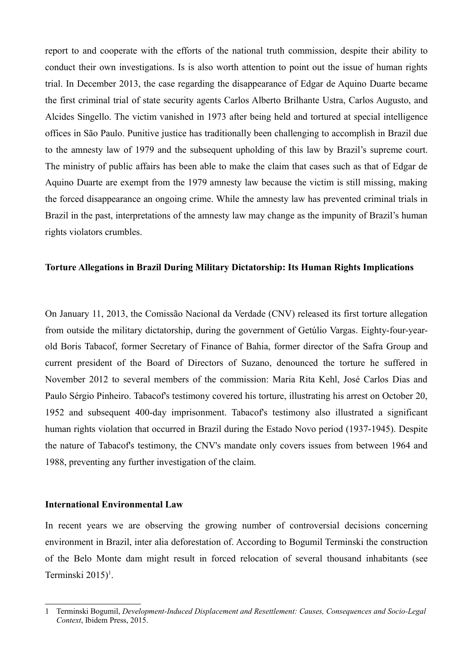report to and cooperate with the efforts of the national truth commission, despite their ability to conduct their own investigations. Is is also worth attention to point out the issue of human rights trial. In December 2013, the case regarding the disappearance of Edgar de Aquino Duarte became the first criminal trial of state security agents Carlos Alberto Brilhante Ustra, Carlos Augusto, and Alcides Singello. The victim vanished in 1973 after being held and tortured at special intelligence offices in São Paulo. Punitive justice has traditionally been challenging to accomplish in Brazil due to the amnesty law of 1979 and the subsequent upholding of this law by Brazil's supreme court. The ministry of public affairs has been able to make the claim that cases such as that of Edgar de Aquino Duarte are exempt from the 1979 amnesty law because the victim is still missing, making the forced disappearance an ongoing crime. While the amnesty law has prevented criminal trials in Brazil in the past, interpretations of the amnesty law may change as the impunity of Brazil's human rights violators crumbles.

# **Torture Allegations in Brazil During Military Dictatorship: Its Human Rights Implications**

On January 11, 2013, the Comissão Nacional da Verdade (CNV) released its first torture allegation from outside the military dictatorship, during the government of Getúlio Vargas. Eighty-four-yearold Boris Tabacof, former Secretary of Finance of Bahia, former director of the Safra Group and current president of the Board of Directors of Suzano, denounced the torture he suffered in November 2012 to several members of the commission: Maria Rita Kehl, José Carlos Dias and Paulo Sérgio Pinheiro. Tabacof's testimony covered his torture, illustrating his arrest on October 20, 1952 and subsequent 400-day imprisonment. Tabacof's testimony also illustrated a significant human rights violation that occurred in Brazil during the Estado Novo period (1937-1945). Despite the nature of Tabacof's testimony, the CNV's mandate only covers issues from between 1964 and 1988, preventing any further investigation of the claim.

#### **International Environmental Law**

In recent years we are observing the growing number of controversial decisions concerning environment in Brazil, inter alia deforestation of. According to Bogumil Terminski the construction of the Belo Monte dam might result in forced relocation of several thousand inhabitants (see Terminski  $2015$  $2015$  $2015$ <sup>1</sup>.

<span id="page-7-0"></span><sup>1</sup> Terminski Bogumil, *Development-Induced Displacement and Resettlement: Causes, Consequences and Socio-Legal Context*, Ibidem Press, 2015.